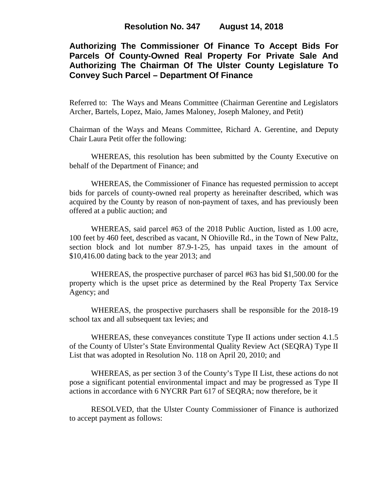# **Authorizing The Commissioner Of Finance To Accept Bids For Parcels Of County-Owned Real Property For Private Sale And Authorizing The Chairman Of The Ulster County Legislature To Convey Such Parcel – Department Of Finance**

Referred to: The Ways and Means Committee (Chairman Gerentine and Legislators Archer, Bartels, Lopez, Maio, James Maloney, Joseph Maloney, and Petit)

Chairman of the Ways and Means Committee, Richard A. Gerentine, and Deputy Chair Laura Petit offer the following:

WHEREAS, this resolution has been submitted by the County Executive on behalf of the Department of Finance; and

WHEREAS, the Commissioner of Finance has requested permission to accept bids for parcels of county-owned real property as hereinafter described, which was acquired by the County by reason of non-payment of taxes, and has previously been offered at a public auction; and

WHEREAS, said parcel #63 of the 2018 Public Auction, listed as 1.00 acre, 100 feet by 460 feet, described as vacant, N Ohioville Rd., in the Town of New Paltz, section block and lot number 87.9-1-25, has unpaid taxes in the amount of \$10,416.00 dating back to the year 2013; and

WHEREAS, the prospective purchaser of parcel #63 has bid \$1,500.00 for the property which is the upset price as determined by the Real Property Tax Service Agency; and

WHEREAS, the prospective purchasers shall be responsible for the 2018-19 school tax and all subsequent tax levies; and

WHEREAS, these conveyances constitute Type II actions under section 4.1.5 of the County of Ulster's State Environmental Quality Review Act (SEQRA) Type II List that was adopted in Resolution No. 118 on April 20, 2010; and

WHEREAS, as per section 3 of the County's Type II List, these actions do not pose a significant potential environmental impact and may be progressed as Type II actions in accordance with 6 NYCRR Part 617 of SEQRA; now therefore, be it

RESOLVED, that the Ulster County Commissioner of Finance is authorized to accept payment as follows: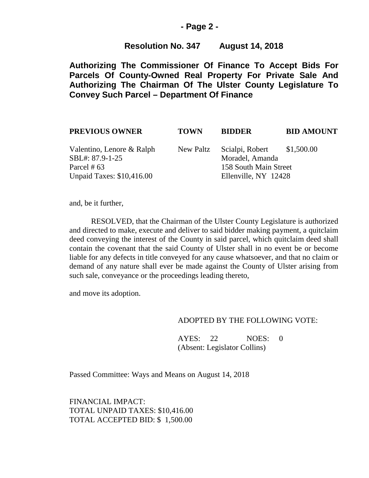#### **- Page 2 -**

## **Resolution No. 347 August 14, 2018**

**Authorizing The Commissioner Of Finance To Accept Bids For Parcels Of County-Owned Real Property For Private Sale And Authorizing The Chairman Of The Ulster County Legislature To Convey Such Parcel – Department Of Finance**

| <b>PREVIOUS OWNER</b>                                         | <b>TOWN</b> | <b>BIDDER</b>                                                          | <b>BID AMOUNT</b> |
|---------------------------------------------------------------|-------------|------------------------------------------------------------------------|-------------------|
| Valentino, Lenore & Ralph<br>SBL#: 87.9-1-25<br>Parcel # $63$ | New Paltz   | Scialpi, Robert \$1,500.00<br>Moradel, Amanda<br>158 South Main Street |                   |
| <b>Unpaid Taxes: \$10,416.00</b>                              |             | Ellenville, NY 12428                                                   |                   |

and, be it further,

RESOLVED, that the Chairman of the Ulster County Legislature is authorized and directed to make, execute and deliver to said bidder making payment, a quitclaim deed conveying the interest of the County in said parcel, which quitclaim deed shall contain the covenant that the said County of Ulster shall in no event be or become liable for any defects in title conveyed for any cause whatsoever, and that no claim or demand of any nature shall ever be made against the County of Ulster arising from such sale, conveyance or the proceedings leading thereto,

and move its adoption.

#### ADOPTED BY THE FOLLOWING VOTE:

AYES: 22 NOES: 0 (Absent: Legislator Collins)

Passed Committee: Ways and Means on August 14, 2018

FINANCIAL IMPACT: TOTAL UNPAID TAXES: \$10,416.00 TOTAL ACCEPTED BID: \$ 1,500.00